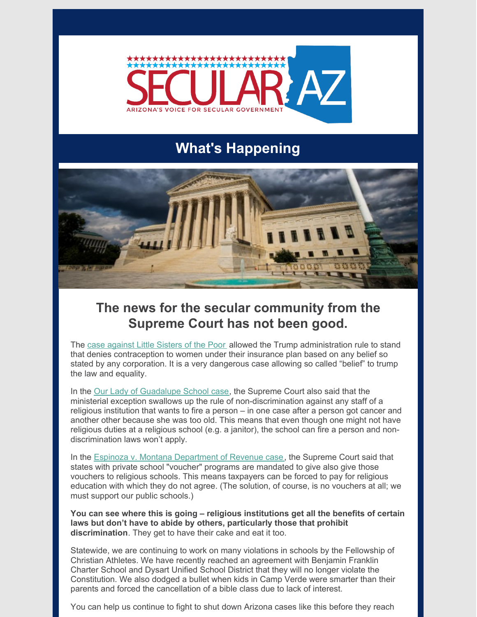

# **What's Happening**



### **The news for the secular community from the Supreme Court has not been good.**

The case [against](https://news.yahoo.com/supreme-court-rules-favor-little-161400844.html) Little Sisters of the Poor allowed the Trump administration rule to stand that denies contraception to women under their insurance plan based on any belief so stated by any corporation. It is a very dangerous case allowing so called "belief" to trump the law and equality.

In the Our Lady of [Guadalupe](https://easyreadernews.com/supreme-courts-rules-in-favor-of-our-lady-of-guadalupe-school-in-hermosa-beach-st-james-school-in-redondo-beach/) School case, the Supreme Court also said that the ministerial exception swallows up the rule of non-discrimination against any staff of a religious institution that wants to fire a person – in one case after a person got cancer and another other because she was too old. This means that even though one might not have religious duties at a religious school (e.g. a janitor), the school can fire a person and nondiscrimination laws won't apply.

In the Espinoza v. Montana [Department](https://nbcmontana.com/news/local/montana-supreme-court-rules-espinoza-v-montana-department-of-revenue-case-closed) of Revenue case, the Supreme Court said that states with private school "voucher" programs are mandated to give also give those vouchers to religious schools. This means taxpayers can be forced to pay for religious education with which they do not agree. (The solution, of course, is no vouchers at all; we must support our public schools.)

**You can see where this is going – religious institutions get all the benefits of certain laws but don't have to abide by others, particularly those that prohibit discrimination**. They get to have their cake and eat it too.

Statewide, we are continuing to work on many violations in schools by the Fellowship of Christian Athletes. We have recently reached an agreement with Benjamin Franklin Charter School and Dysart Unified School District that they will no longer violate the Constitution. We also dodged a bullet when kids in Camp Verde were smarter than their parents and forced the cancellation of a bible class due to lack of interest.

You can help us continue to fight to shut down Arizona cases like this before they reach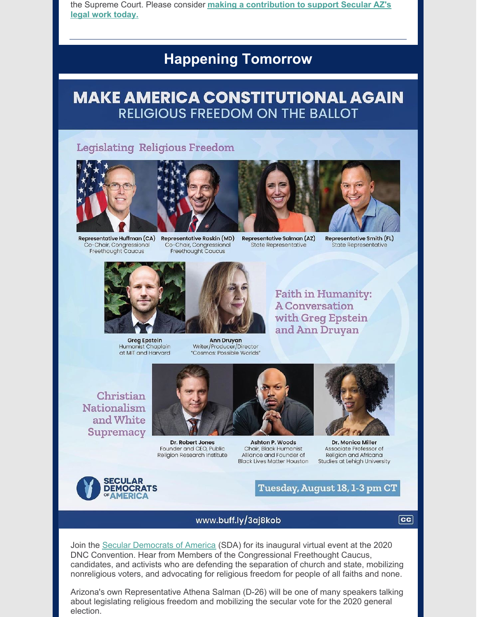the Supreme Court. Please consider making a contribution to support Secular AZ's legal work today.

## **Happening Tomorrow**

## **MAKE AMERICA CONSTITUTIONAL AGAIN RELIGIOUS FREEDOM ON THE BALLOT**

### **Legislating Religious Freedom**



Representative Huffman (CA) Co-Chair, Congressional Freethought Caucus



**Representative Raskin (MD)** Co-Chair, Congressional Freethought Caucus





**Representative Smith (FL)** State Representative



**Greg Epstein** Humanist Chaplain at MIT and Harvard

**Ann Druyan** Writer/Producer/Director "Cosmos: Possible Worlds" **Faith in Humanity: A Conversation** with Greg Epstein and Ann Druyan

Christian **Nationalism** and White **Supremacy** 



Dr. Robert Jones Founder and CEO, Public Religion Research Institute





Dr. Monica Miller Associate Professor of Religion and Africana Studies at Lehigh University



Tuesday, August 18, 1-3 pm CT

### www.buff.ly/3aj8kob

 $|cc|$ 

Join the Secular Democrats of America (SDA) for its inaugural virtual event at the 2020 DNC Convention. Hear from Members of the Congressional Freethought Caucus, candidates, and activists who are defending the separation of church and state, mobilizing nonreligious voters, and advocating for religious freedom for people of all faiths and none.

Arizona's own Representative Athena Salman (D-26) will be one of many speakers talking about legislating religious freedom and mobilizing the secular vote for the 2020 general election.